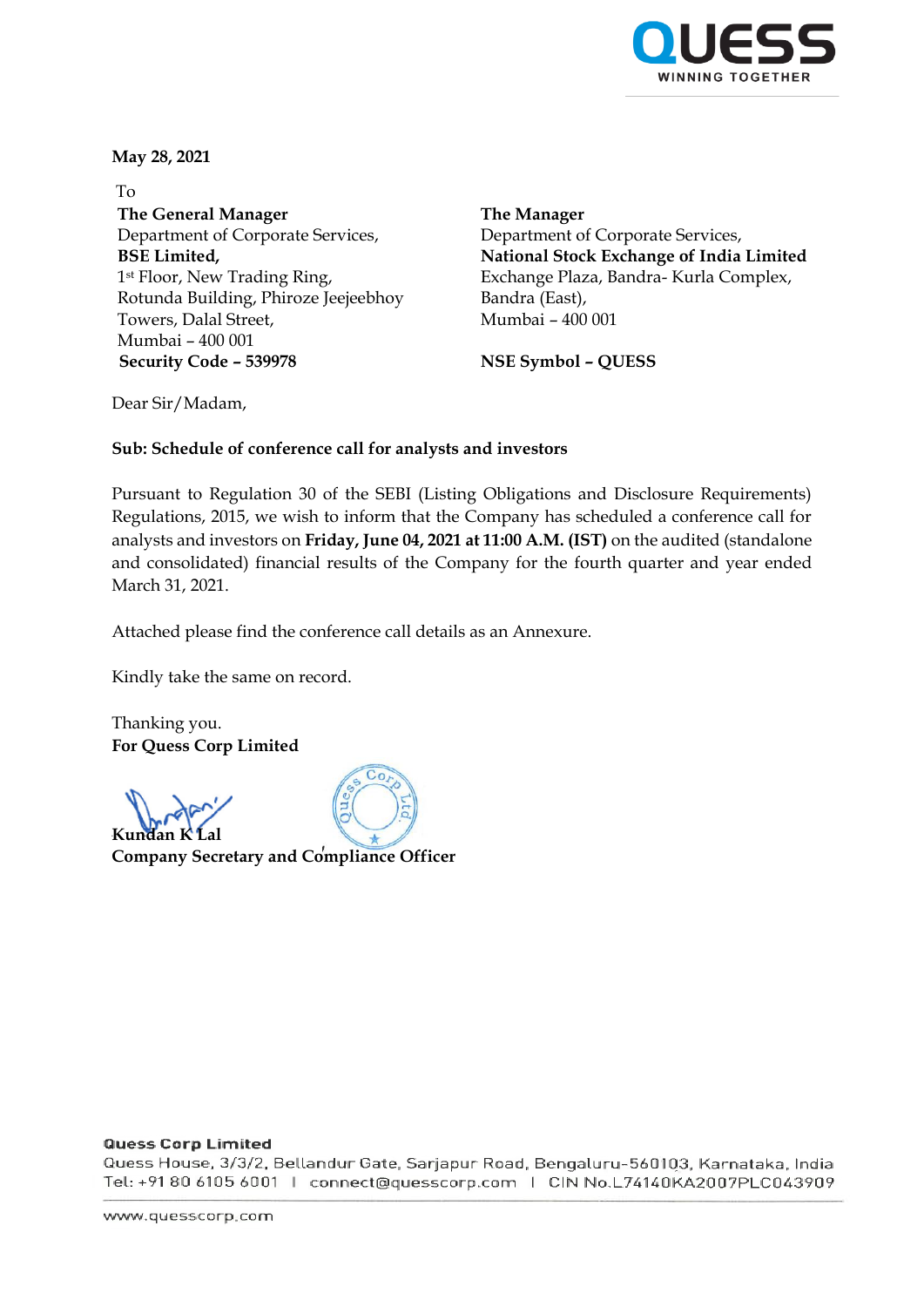

**May 28, 2021** 

To **The General Manager** Department of Corporate Services, **BSE Limited,** 1st Floor, New Trading Ring, Rotunda Building, Phiroze Jeejeebhoy Towers, Dalal Street, Mumbai – 400 001 **Security Code – 539978 NSE Symbol – QUESS**

**The Manager** Department of Corporate Services, **National Stock Exchange of India Limited** Exchange Plaza, Bandra- Kurla Complex, Bandra (East), Mumbai – 400 001

Dear Sir/Madam,

## **Sub: Schedule of conference call for analysts and investors**

Pursuant to Regulation 30 of the SEBI (Listing Obligations and Disclosure Requirements) Regulations, 2015, we wish to inform that the Company has scheduled a conference call for analysts and investors on **Friday, June 04, 2021 at 11:00 A.M. (IST)** on the audited (standalone and consolidated) financial results of the Company for the fourth quarter and year ended March 31, 2021.

Attached please find the conference call details as an Annexure.

Kindly take the same on record.

Thanking you. **For Quess Corp Limited** 

**Kundan K** 



**Company Secretary and Compliance Officer** 

## **Quess Corp Limited**

Quess House, 3/3/2, Bellandur Gate, Sarjapur Road, Bengaluru-560103, Karnataka, India Tel: +91 80 6105 6001 | connect@quesscorp.com | CIN No.L74140KA2007PLC043909